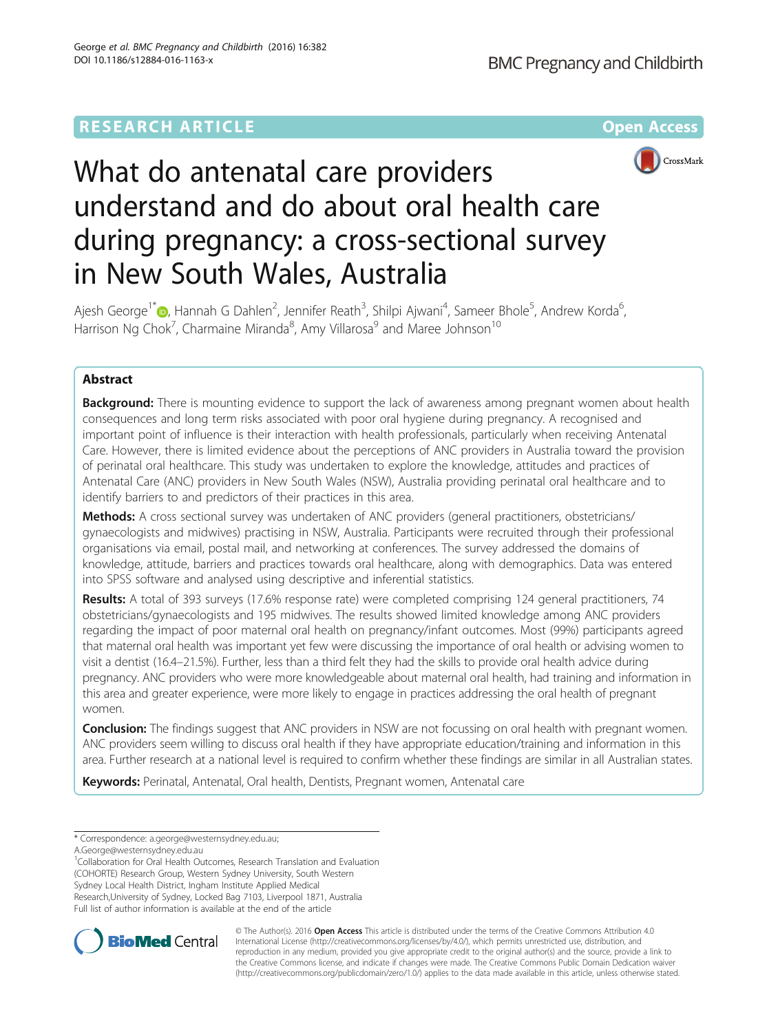# **RESEARCH ARTICLE Example 2014 12:30 The Company Access** (RESEARCH ARTICLE



# What do antenatal care providers understand and do about oral health care during pregnancy: a cross-sectional survey in New South Wales, Australia

Ajesh George<sup>1\*</sup>�[,](http://orcid.org/0000-0002-6795-2546) Hannah G Dahlen<sup>2</sup>, Jennifer Reath<sup>3</sup>, Shilpi Ajwani<sup>4</sup>, Sameer Bhole<sup>5</sup>, Andrew Korda<sup>6</sup> , Harrison Ng Chok<sup>7</sup>, Charmaine Miranda<sup>8</sup>, Amy Villarosa<sup>9</sup> and Maree Johnson<sup>10</sup>

# Abstract

**Background:** There is mounting evidence to support the lack of awareness among pregnant women about health consequences and long term risks associated with poor oral hygiene during pregnancy. A recognised and important point of influence is their interaction with health professionals, particularly when receiving Antenatal Care. However, there is limited evidence about the perceptions of ANC providers in Australia toward the provision of perinatal oral healthcare. This study was undertaken to explore the knowledge, attitudes and practices of Antenatal Care (ANC) providers in New South Wales (NSW), Australia providing perinatal oral healthcare and to identify barriers to and predictors of their practices in this area.

Methods: A cross sectional survey was undertaken of ANC providers (general practitioners, obstetricians/ gynaecologists and midwives) practising in NSW, Australia. Participants were recruited through their professional organisations via email, postal mail, and networking at conferences. The survey addressed the domains of knowledge, attitude, barriers and practices towards oral healthcare, along with demographics. Data was entered into SPSS software and analysed using descriptive and inferential statistics.

Results: A total of 393 surveys (17.6% response rate) were completed comprising 124 general practitioners, 74 obstetricians/gynaecologists and 195 midwives. The results showed limited knowledge among ANC providers regarding the impact of poor maternal oral health on pregnancy/infant outcomes. Most (99%) participants agreed that maternal oral health was important yet few were discussing the importance of oral health or advising women to visit a dentist (16.4–21.5%). Further, less than a third felt they had the skills to provide oral health advice during pregnancy. ANC providers who were more knowledgeable about maternal oral health, had training and information in this area and greater experience, were more likely to engage in practices addressing the oral health of pregnant women.

**Conclusion:** The findings suggest that ANC providers in NSW are not focussing on oral health with pregnant women. ANC providers seem willing to discuss oral health if they have appropriate education/training and information in this area. Further research at a national level is required to confirm whether these findings are similar in all Australian states.

Keywords: Perinatal, Antenatal, Oral health, Dentists, Pregnant women, Antenatal care

<sup>1</sup>Collaboration for Oral Health Outcomes, Research Translation and Evaluation (COHORTE) Research Group, Western Sydney University, South Western

Sydney Local Health District, Ingham Institute Applied Medical

Research,University of Sydney, Locked Bag 7103, Liverpool 1871, Australia

Full list of author information is available at the end of the article



© The Author(s). 2016 Open Access This article is distributed under the terms of the Creative Commons Attribution 4.0 International License [\(http://creativecommons.org/licenses/by/4.0/](http://creativecommons.org/licenses/by/4.0/)), which permits unrestricted use, distribution, and reproduction in any medium, provided you give appropriate credit to the original author(s) and the source, provide a link to the Creative Commons license, and indicate if changes were made. The Creative Commons Public Domain Dedication waiver [\(http://creativecommons.org/publicdomain/zero/1.0/](http://creativecommons.org/publicdomain/zero/1.0/)) applies to the data made available in this article, unless otherwise stated.

<sup>\*</sup> Correspondence: [a.george@westernsydney.edu.au](mailto:a.george@westernsydney.edu.au);

[A.George@westernsydney.edu.au](mailto:A.George@westernsydney.edu.au)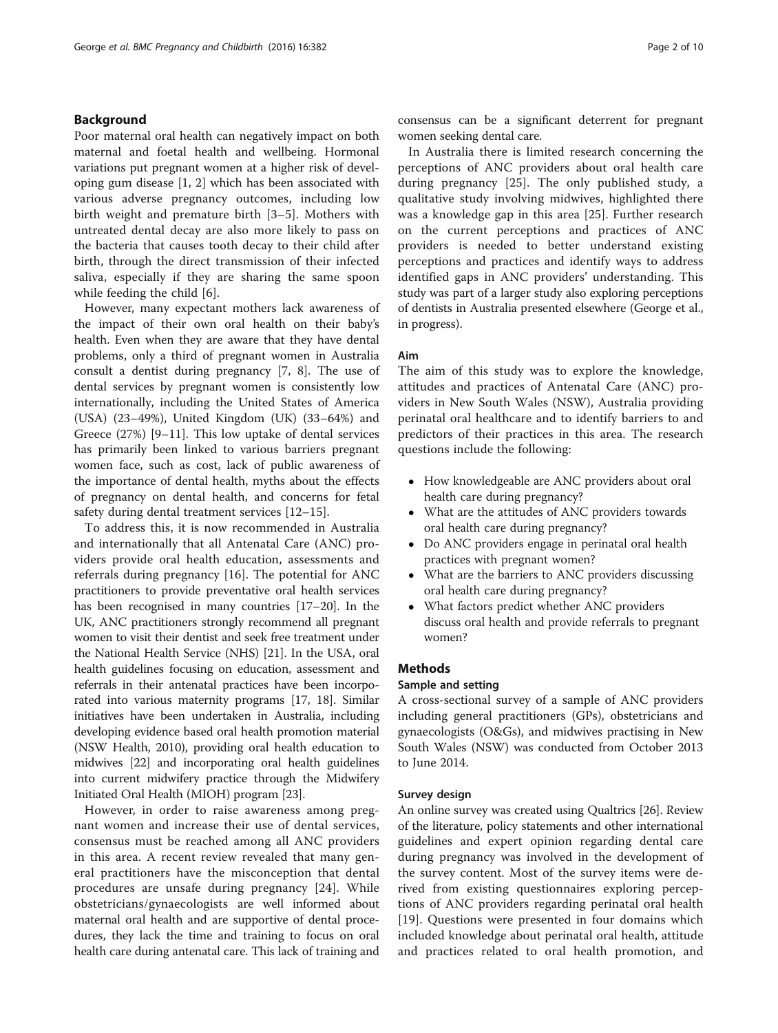# Background

Poor maternal oral health can negatively impact on both maternal and foetal health and wellbeing. Hormonal variations put pregnant women at a higher risk of developing gum disease [\[1](#page-8-0), [2\]](#page-8-0) which has been associated with various adverse pregnancy outcomes, including low birth weight and premature birth [\[3](#page-8-0)–[5](#page-8-0)]. Mothers with untreated dental decay are also more likely to pass on the bacteria that causes tooth decay to their child after birth, through the direct transmission of their infected saliva, especially if they are sharing the same spoon while feeding the child [[6\]](#page-8-0).

However, many expectant mothers lack awareness of the impact of their own oral health on their baby's health. Even when they are aware that they have dental problems, only a third of pregnant women in Australia consult a dentist during pregnancy [[7, 8\]](#page-8-0). The use of dental services by pregnant women is consistently low internationally, including the United States of America (USA) (23–49%), United Kingdom (UK) (33–64%) and Greece (27%) [[9](#page-8-0)–[11](#page-8-0)]. This low uptake of dental services has primarily been linked to various barriers pregnant women face, such as cost, lack of public awareness of the importance of dental health, myths about the effects of pregnancy on dental health, and concerns for fetal safety during dental treatment services [\[12](#page-8-0)–[15](#page-8-0)].

To address this, it is now recommended in Australia and internationally that all Antenatal Care (ANC) providers provide oral health education, assessments and referrals during pregnancy [[16\]](#page-8-0). The potential for ANC practitioners to provide preventative oral health services has been recognised in many countries [[17](#page-8-0)–[20\]](#page-8-0). In the UK, ANC practitioners strongly recommend all pregnant women to visit their dentist and seek free treatment under the National Health Service (NHS) [[21](#page-9-0)]. In the USA, oral health guidelines focusing on education, assessment and referrals in their antenatal practices have been incorporated into various maternity programs [[17, 18](#page-8-0)]. Similar initiatives have been undertaken in Australia, including developing evidence based oral health promotion material (NSW Health, 2010), providing oral health education to midwives [\[22](#page-9-0)] and incorporating oral health guidelines into current midwifery practice through the Midwifery Initiated Oral Health (MIOH) program [[23\]](#page-9-0).

However, in order to raise awareness among pregnant women and increase their use of dental services, consensus must be reached among all ANC providers in this area. A recent review revealed that many general practitioners have the misconception that dental procedures are unsafe during pregnancy [\[24](#page-9-0)]. While obstetricians/gynaecologists are well informed about maternal oral health and are supportive of dental procedures, they lack the time and training to focus on oral health care during antenatal care. This lack of training and consensus can be a significant deterrent for pregnant women seeking dental care.

In Australia there is limited research concerning the perceptions of ANC providers about oral health care during pregnancy [[25](#page-9-0)]. The only published study, a qualitative study involving midwives, highlighted there was a knowledge gap in this area [\[25\]](#page-9-0). Further research on the current perceptions and practices of ANC providers is needed to better understand existing perceptions and practices and identify ways to address identified gaps in ANC providers' understanding. This study was part of a larger study also exploring perceptions of dentists in Australia presented elsewhere (George et al., in progress).

#### Aim

The aim of this study was to explore the knowledge, attitudes and practices of Antenatal Care (ANC) providers in New South Wales (NSW), Australia providing perinatal oral healthcare and to identify barriers to and predictors of their practices in this area. The research questions include the following:

- How knowledgeable are ANC providers about oral health care during pregnancy?
- What are the attitudes of ANC providers towards oral health care during pregnancy?
- Do ANC providers engage in perinatal oral health practices with pregnant women?
- What are the barriers to ANC providers discussing oral health care during pregnancy?
- What factors predict whether ANC providers discuss oral health and provide referrals to pregnant women?

# **Methods**

#### Sample and setting

A cross-sectional survey of a sample of ANC providers including general practitioners (GPs), obstetricians and gynaecologists (O&Gs), and midwives practising in New South Wales (NSW) was conducted from October 2013 to June 2014.

#### Survey design

An online survey was created using Qualtrics [[26](#page-9-0)]. Review of the literature, policy statements and other international guidelines and expert opinion regarding dental care during pregnancy was involved in the development of the survey content. Most of the survey items were derived from existing questionnaires exploring perceptions of ANC providers regarding perinatal oral health [[19\]](#page-8-0). Questions were presented in four domains which included knowledge about perinatal oral health, attitude and practices related to oral health promotion, and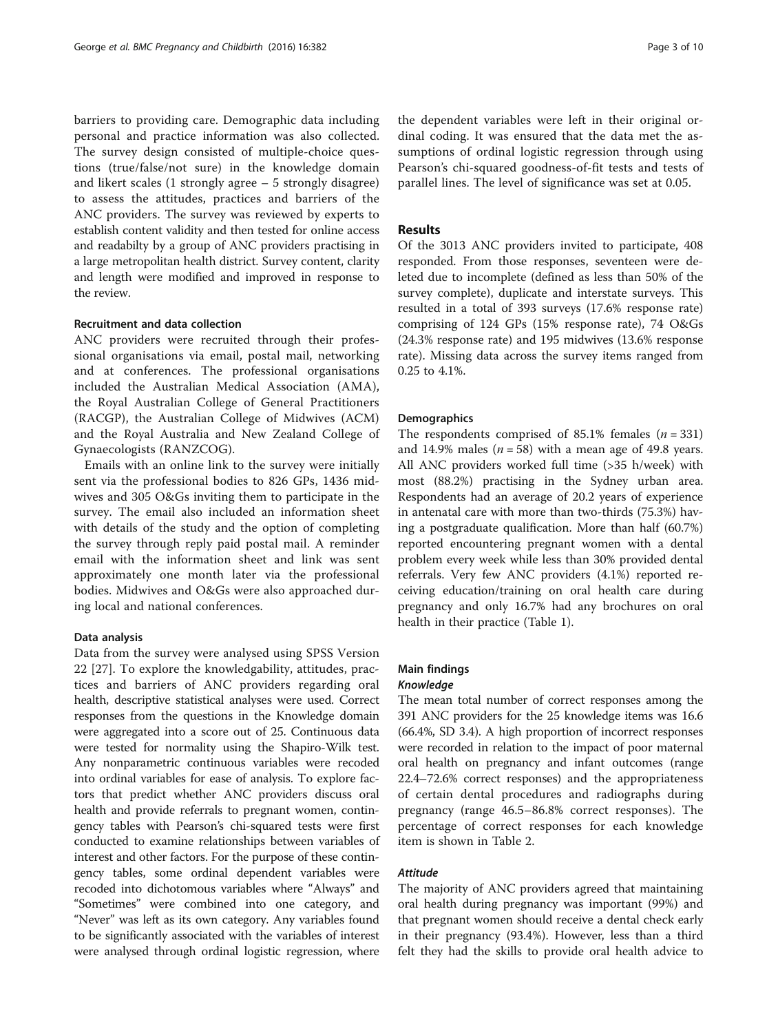barriers to providing care. Demographic data including personal and practice information was also collected. The survey design consisted of multiple-choice questions (true/false/not sure) in the knowledge domain and likert scales (1 strongly agree – 5 strongly disagree) to assess the attitudes, practices and barriers of the ANC providers. The survey was reviewed by experts to establish content validity and then tested for online access and readabilty by a group of ANC providers practising in a large metropolitan health district. Survey content, clarity and length were modified and improved in response to the review.

# Recruitment and data collection

ANC providers were recruited through their professional organisations via email, postal mail, networking and at conferences. The professional organisations included the Australian Medical Association (AMA), the Royal Australian College of General Practitioners (RACGP), the Australian College of Midwives (ACM) and the Royal Australia and New Zealand College of Gynaecologists (RANZCOG).

Emails with an online link to the survey were initially sent via the professional bodies to 826 GPs, 1436 midwives and 305 O&Gs inviting them to participate in the survey. The email also included an information sheet with details of the study and the option of completing the survey through reply paid postal mail. A reminder email with the information sheet and link was sent approximately one month later via the professional bodies. Midwives and O&Gs were also approached during local and national conferences.

# Data analysis

Data from the survey were analysed using SPSS Version 22 [[27](#page-9-0)]. To explore the knowledgability, attitudes, practices and barriers of ANC providers regarding oral health, descriptive statistical analyses were used. Correct responses from the questions in the Knowledge domain were aggregated into a score out of 25. Continuous data were tested for normality using the Shapiro-Wilk test. Any nonparametric continuous variables were recoded into ordinal variables for ease of analysis. To explore factors that predict whether ANC providers discuss oral health and provide referrals to pregnant women, contingency tables with Pearson's chi-squared tests were first conducted to examine relationships between variables of interest and other factors. For the purpose of these contingency tables, some ordinal dependent variables were recoded into dichotomous variables where "Always" and "Sometimes" were combined into one category, and "Never" was left as its own category. Any variables found to be significantly associated with the variables of interest were analysed through ordinal logistic regression, where

the dependent variables were left in their original ordinal coding. It was ensured that the data met the assumptions of ordinal logistic regression through using Pearson's chi-squared goodness-of-fit tests and tests of parallel lines. The level of significance was set at 0.05.

# Results

Of the 3013 ANC providers invited to participate, 408 responded. From those responses, seventeen were deleted due to incomplete (defined as less than 50% of the survey complete), duplicate and interstate surveys. This resulted in a total of 393 surveys (17.6% response rate) comprising of 124 GPs (15% response rate), 74 O&Gs (24.3% response rate) and 195 midwives (13.6% response rate). Missing data across the survey items ranged from 0.25 to 4.1%.

# Demographics

The respondents comprised of 85.1% females  $(n = 331)$ and 14.9% males ( $n = 58$ ) with a mean age of 49.8 years. All ANC providers worked full time (>35 h/week) with most (88.2%) practising in the Sydney urban area. Respondents had an average of 20.2 years of experience in antenatal care with more than two-thirds (75.3%) having a postgraduate qualification. More than half (60.7%) reported encountering pregnant women with a dental problem every week while less than 30% provided dental referrals. Very few ANC providers (4.1%) reported receiving education/training on oral health care during pregnancy and only 16.7% had any brochures on oral health in their practice (Table [1](#page-3-0)).

# Main findings

#### Knowledge

The mean total number of correct responses among the 391 ANC providers for the 25 knowledge items was 16.6 (66.4%, SD 3.4). A high proportion of incorrect responses were recorded in relation to the impact of poor maternal oral health on pregnancy and infant outcomes (range 22.4–72.6% correct responses) and the appropriateness of certain dental procedures and radiographs during pregnancy (range 46.5–86.8% correct responses). The percentage of correct responses for each knowledge item is shown in Table [2](#page-4-0).

### Attitude

The majority of ANC providers agreed that maintaining oral health during pregnancy was important (99%) and that pregnant women should receive a dental check early in their pregnancy (93.4%). However, less than a third felt they had the skills to provide oral health advice to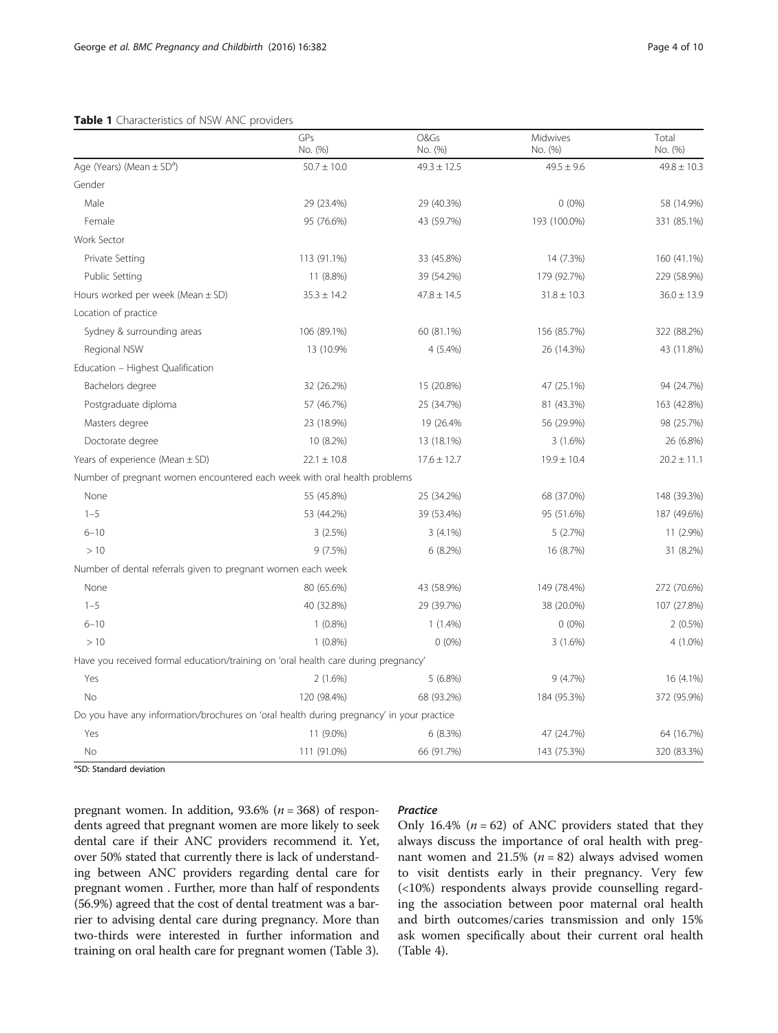### <span id="page-3-0"></span>Table 1 Characteristics of NSW ANC providers

|                                                                                          | GPs<br>No. (%)  | O&Gs<br>No. (%) | Midwives<br>No. (%) | Total<br>No. (%) |
|------------------------------------------------------------------------------------------|-----------------|-----------------|---------------------|------------------|
| Age (Years) (Mean $\pm$ SD <sup>a</sup> )                                                | $50.7 \pm 10.0$ | $49.3 \pm 12.5$ | $49.5 \pm 9.6$      | $49.8 \pm 10.3$  |
| Gender                                                                                   |                 |                 |                     |                  |
| Male                                                                                     | 29 (23.4%)      | 29 (40.3%)      | $0(0\%)$            | 58 (14.9%)       |
| Female                                                                                   | 95 (76.6%)      | 43 (59.7%)      | 193 (100.0%)        | 331 (85.1%)      |
| Work Sector                                                                              |                 |                 |                     |                  |
| Private Setting                                                                          | 113 (91.1%)     | 33 (45.8%)      | 14 (7.3%)           | 160 (41.1%)      |
| Public Setting                                                                           | 11 (8.8%)       | 39 (54.2%)      | 179 (92.7%)         | 229 (58.9%)      |
| Hours worked per week (Mean $\pm$ SD)                                                    | $35.3 \pm 14.2$ | $47.8 \pm 14.5$ | $31.8 \pm 10.3$     | $36.0 \pm 13.9$  |
| Location of practice                                                                     |                 |                 |                     |                  |
| Sydney & surrounding areas                                                               | 106 (89.1%)     | 60 (81.1%)      | 156 (85.7%)         | 322 (88.2%)      |
| Regional NSW                                                                             | 13 (10.9%)      | 4 (5.4%)        | 26 (14.3%)          | 43 (11.8%)       |
| Education - Highest Qualification                                                        |                 |                 |                     |                  |
| Bachelors degree                                                                         | 32 (26.2%)      | 15 (20.8%)      | 47 (25.1%)          | 94 (24.7%)       |
| Postgraduate diploma                                                                     | 57 (46.7%)      | 25 (34.7%)      | 81 (43.3%)          | 163 (42.8%)      |
| Masters degree                                                                           | 23 (18.9%)      | 19 (26.4%       | 56 (29.9%)          | 98 (25.7%)       |
| Doctorate degree                                                                         | 10 (8.2%)       | 13 (18.1%)      | 3(1.6%)             | 26 (6.8%)        |
| Years of experience (Mean $\pm$ SD)                                                      | $22.1 \pm 10.8$ | $17.6 \pm 12.7$ | $19.9 \pm 10.4$     | $20.2 \pm 11.1$  |
| Number of pregnant women encountered each week with oral health problems                 |                 |                 |                     |                  |
| None                                                                                     | 55 (45.8%)      | 25 (34.2%)      | 68 (37.0%)          | 148 (39.3%)      |
| $1 - 5$                                                                                  | 53 (44.2%)      | 39 (53.4%)      | 95 (51.6%)          | 187 (49.6%)      |
| $6 - 10$                                                                                 | 3(2.5%)         | $3(4.1\%)$      | 5(2.7%)             | 11 (2.9%)        |
| >10                                                                                      | 9 (7.5%)        | 6(8.2%)         | 16 (8.7%)           | 31 (8.2%)        |
| Number of dental referrals given to pregnant women each week                             |                 |                 |                     |                  |
| None                                                                                     | 80 (65.6%)      | 43 (58.9%)      | 149 (78.4%)         | 272 (70.6%)      |
| $1 - 5$                                                                                  | 40 (32.8%)      | 29 (39.7%)      | 38 (20.0%)          | 107 (27.8%)      |
| $6 - 10$                                                                                 | $1(0.8\%)$      | $1(1.4\%)$      | $0(0\%)$            | $2(0.5\%)$       |
| >10                                                                                      | $1(0.8\%)$      | $0(0\%)$        | 3(1.6%)             | 4 (1.0%)         |
| Have you received formal education/training on 'oral health care during pregnancy'       |                 |                 |                     |                  |
| Yes                                                                                      | 2(1.6%)         | $5(6.8\%)$      | 9(4.7%)             | 16 (4.1%)        |
| <b>No</b>                                                                                | 120 (98.4%)     | 68 (93.2%)      | 184 (95.3%)         | 372 (95.9%)      |
| Do you have any information/brochures on 'oral health during pregnancy' in your practice |                 |                 |                     |                  |
| Yes                                                                                      | 11 (9.0%)       | 6(8.3%)         | 47 (24.7%)          | 64 (16.7%)       |
| No                                                                                       | 111 (91.0%)     | 66 (91.7%)      | 143 (75.3%)         | 320 (83.3%)      |

<sup>a</sup>SD: Standard deviation

pregnant women. In addition, 93.6% ( $n = 368$ ) of respondents agreed that pregnant women are more likely to seek dental care if their ANC providers recommend it. Yet, over 50% stated that currently there is lack of understanding between ANC providers regarding dental care for pregnant women . Further, more than half of respondents (56.9%) agreed that the cost of dental treatment was a barrier to advising dental care during pregnancy. More than two-thirds were interested in further information and training on oral health care for pregnant women (Table [3\)](#page-5-0).

# **Practice**

Only 16.4% ( $n = 62$ ) of ANC providers stated that they always discuss the importance of oral health with pregnant women and 21.5% ( $n = 82$ ) always advised women to visit dentists early in their pregnancy. Very few (<10%) respondents always provide counselling regarding the association between poor maternal oral health and birth outcomes/caries transmission and only 15% ask women specifically about their current oral health (Table [4\)](#page-5-0).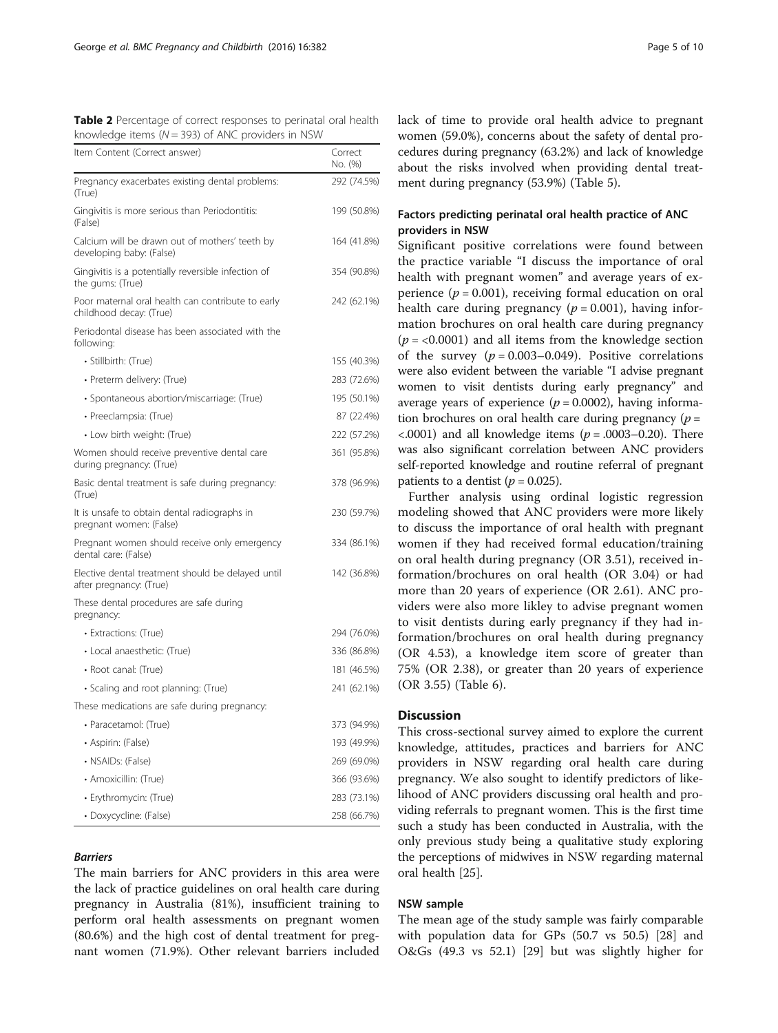<span id="page-4-0"></span>Table 2 Percentage of correct responses to perinatal oral health knowledge items ( $N = 393$ ) of ANC providers in NSW

| Item Content (Correct answer)                                                | Correct<br>No. (%) |
|------------------------------------------------------------------------------|--------------------|
| Pregnancy exacerbates existing dental problems:<br>(True)                    | 292 (74.5%)        |
| Gingivitis is more serious than Periodontitis:<br>(False)                    | 199 (50.8%)        |
| Calcium will be drawn out of mothers' teeth by<br>developing baby: (False)   | 164 (41.8%)        |
| Gingivitis is a potentially reversible infection of<br>the gums: (True)      | 354 (90.8%)        |
| Poor maternal oral health can contribute to early<br>childhood decay: (True) | 242 (62.1%)        |
| Periodontal disease has been associated with the<br>following:               |                    |
| • Stillbirth: (True)                                                         | 155 (40.3%)        |
| • Preterm delivery: (True)                                                   | 283 (72.6%)        |
| · Spontaneous abortion/miscarriage: (True)                                   | 195 (50.1%)        |
| • Preeclampsia: (True)                                                       | 87 (22.4%)         |
| • Low birth weight: (True)                                                   | 222 (57.2%)        |
| Women should receive preventive dental care<br>during pregnancy: (True)      | 361 (95.8%)        |
| Basic dental treatment is safe during pregnancy:<br>(True)                   | 378 (96.9%)        |
| It is unsafe to obtain dental radiographs in<br>pregnant women: (False)      | 230 (59.7%)        |
| Pregnant women should receive only emergency<br>dental care: (False)         | 334 (86.1%)        |
| Elective dental treatment should be delayed until<br>after pregnancy: (True) | 142 (36.8%)        |
| These dental procedures are safe during<br>pregnancy:                        |                    |
| • Extractions: (True)                                                        | 294 (76.0%)        |
| • Local anaesthetic: (True)                                                  | 336 (86.8%)        |
| • Root canal: (True)                                                         | 181 (46.5%)        |
| • Scaling and root planning: (True)                                          | 241 (62.1%)        |
| These medications are safe during pregnancy:                                 |                    |
| • Paracetamol: (True)                                                        | 373 (94.9%)        |
| • Aspirin: (False)                                                           | 193 (49.9%)        |
| • NSAIDs: (False)                                                            | 269 (69.0%)        |
| • Amoxicillin: (True)                                                        | 366 (93.6%)        |
| • Erythromycin: (True)                                                       | 283 (73.1%)        |
| · Doxycycline: (False)                                                       | 258 (66.7%)        |

# Barriers

The main barriers for ANC providers in this area were the lack of practice guidelines on oral health care during pregnancy in Australia (81%), insufficient training to perform oral health assessments on pregnant women (80.6%) and the high cost of dental treatment for pregnant women (71.9%). Other relevant barriers included lack of time to provide oral health advice to pregnant women (59.0%), concerns about the safety of dental procedures during pregnancy (63.2%) and lack of knowledge about the risks involved when providing dental treatment during pregnancy (53.9%) (Table [5\)](#page-6-0).

# Factors predicting perinatal oral health practice of ANC providers in NSW

Significant positive correlations were found between the practice variable "I discuss the importance of oral health with pregnant women" and average years of experience ( $p = 0.001$ ), receiving formal education on oral health care during pregnancy ( $p = 0.001$ ), having information brochures on oral health care during pregnancy  $(p = < 0.0001)$  and all items from the knowledge section of the survey  $(p = 0.003 - 0.049)$ . Positive correlations were also evident between the variable "I advise pregnant women to visit dentists during early pregnancy" and average years of experience  $(p = 0.0002)$ , having information brochures on oral health care during pregnancy ( $p =$  $\langle 0.0001 \rangle$  and all knowledge items ( $p = .0003 - 0.20$ ). There was also significant correlation between ANC providers self-reported knowledge and routine referral of pregnant patients to a dentist ( $p = 0.025$ ).

Further analysis using ordinal logistic regression modeling showed that ANC providers were more likely to discuss the importance of oral health with pregnant women if they had received formal education/training on oral health during pregnancy (OR 3.51), received information/brochures on oral health (OR 3.04) or had more than 20 years of experience (OR 2.61). ANC providers were also more likley to advise pregnant women to visit dentists during early pregnancy if they had information/brochures on oral health during pregnancy (OR 4.53), a knowledge item score of greater than 75% (OR 2.38), or greater than 20 years of experience (OR 3.55) (Table [6](#page-7-0)).

# **Discussion**

This cross-sectional survey aimed to explore the current knowledge, attitudes, practices and barriers for ANC providers in NSW regarding oral health care during pregnancy. We also sought to identify predictors of likelihood of ANC providers discussing oral health and providing referrals to pregnant women. This is the first time such a study has been conducted in Australia, with the only previous study being a qualitative study exploring the perceptions of midwives in NSW regarding maternal oral health [[25](#page-9-0)].

# NSW sample

The mean age of the study sample was fairly comparable with population data for GPs (50.7 vs 50.5) [\[28](#page-9-0)] and O&Gs (49.3 vs 52.1) [\[29](#page-9-0)] but was slightly higher for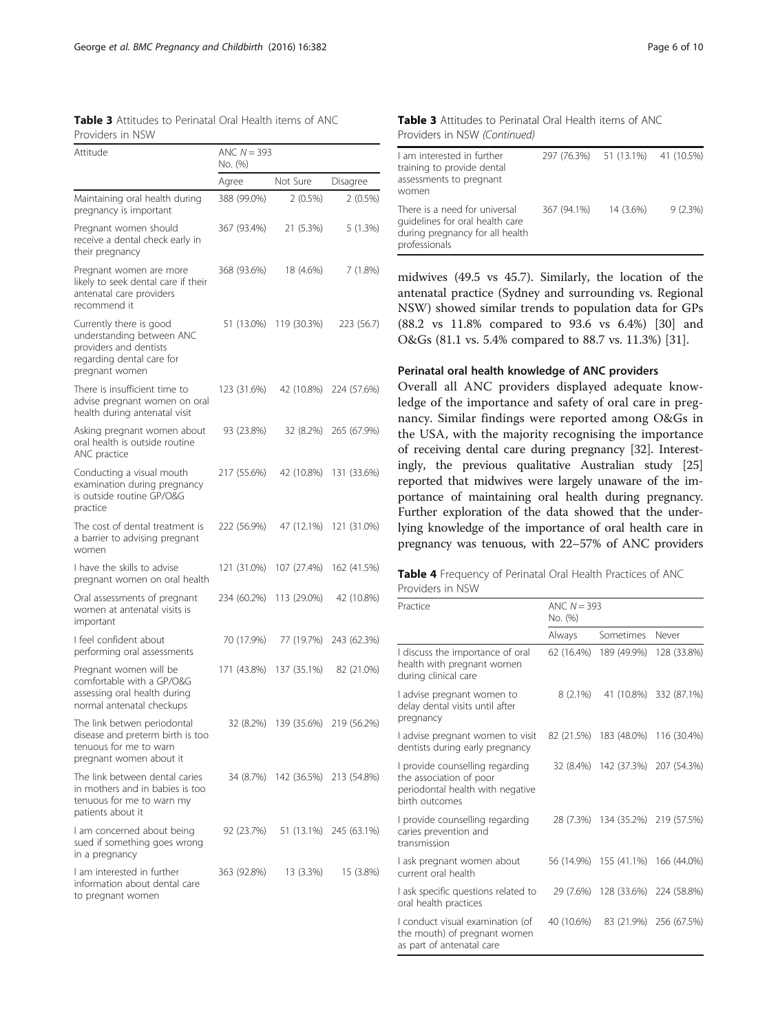<span id="page-5-0"></span>

| <b>Table 3</b> Attitudes to Perinatal Oral Health items of ANC |  |  |  |
|----------------------------------------------------------------|--|--|--|
| Providers in NSW                                               |  |  |  |

| Attitude                                                                                                                      | ANC $N = 393$<br>No. (%) |                                   |                        |
|-------------------------------------------------------------------------------------------------------------------------------|--------------------------|-----------------------------------|------------------------|
|                                                                                                                               | Agree                    | Not Sure                          | Disagree               |
| Maintaining oral health during<br>pregnancy is important                                                                      | 388 (99.0%)              | 2(0.5%)                           | $2(0.5\%)$             |
| Pregnant women should<br>receive a dental check early in<br>their pregnancy                                                   | 367 (93.4%)              | 21 (5.3%)                         | 5(1.3%)                |
| Pregnant women are more<br>likely to seek dental care if their<br>antenatal care providers<br>recommend it                    | 368 (93.6%)              | 18 (4.6%)                         | 7 (1.8%)               |
| Currently there is good<br>understanding between ANC<br>providers and dentists<br>regarding dental care for<br>pregnant women | 51 (13.0%)               | 119 (30.3%)                       | 223 (56.7)             |
| There is insufficient time to<br>advise pregnant women on oral<br>health during antenatal visit                               | 123 (31.6%)              | 42 (10.8%)                        | 224 (57.6%)            |
| Asking pregnant women about<br>oral health is outside routine<br>ANC practice                                                 | 93 (23.8%)               | 32 (8.2%)                         | 265 (67.9%)            |
| Conducting a visual mouth<br>examination during pregnancy<br>is outside routine GP/O&G<br>practice                            | 217 (55.6%)              | 42 (10.8%)                        | 131 (33.6%)            |
| The cost of dental treatment is<br>a barrier to advising pregnant<br>women                                                    | 222 (56.9%)              | 47 (12.1%)                        | 121 (31.0%)            |
| I have the skills to advise<br>pregnant women on oral health                                                                  | 121 (31.0%)              | 107 (27.4%)                       | 162 (41.5%)            |
| Oral assessments of pregnant<br>women at antenatal visits is<br>important                                                     | 234 (60.2%)              | 113 (29.0%)                       | 42 (10.8%)             |
| I feel confident about<br>performing oral assessments                                                                         | 70 (17.9%)               | 77 (19.7%)                        | 243 (62.3%)            |
| Pregnant women will be<br>comfortable with a GP/O&G<br>assessing oral health during<br>normal antenatal checkups              | 171 (43.8%)              | 137 (35.1%)                       | 82 (21.0%)             |
| The link betwen periodontal<br>disease and preterm birth is too<br>tenuous for me to warn<br>pregnant women about it          | 32 (8.2%)                | 139 (35.6%)                       | 219 (56.2%)            |
| The link between dental caries<br>in mothers and in babies is too<br>tenuous for me to warn my<br>patients about it           |                          | 34 (8.7%) 142 (36.5%) 213 (54.8%) |                        |
| I am concerned about being<br>sued if something goes wrong<br>in a pregnancy                                                  | 92 (23.7%)               |                                   | 51 (13.1%) 245 (63.1%) |
| I am interested in further<br>information about dental care<br>to pregnant women                                              | 363 (92.8%)              | 13 (3.3%)                         | 15 (3.8%)              |

Table 3 Attitudes to Perinatal Oral Health items of ANC Providers in NSW (Continued)

| Lam interested in further<br>training to provide dental<br>assessments to pregnant<br>women                          | 297 (76.3%) 51 (13.1%) |           | 41 (10.5%) |
|----------------------------------------------------------------------------------------------------------------------|------------------------|-----------|------------|
| There is a need for universal<br>quidelines for oral health care<br>during pregnancy for all health<br>professionals | 367 (94.1%)            | 14 (3.6%) | 9(2.3%)    |

midwives (49.5 vs 45.7). Similarly, the location of the antenatal practice (Sydney and surrounding vs. Regional NSW) showed similar trends to population data for GPs (88.2 vs 11.8% compared to 93.6 vs 6.4%) [[30](#page-9-0)] and O&Gs (81.1 vs. 5.4% compared to 88.7 vs. 11.3%) [[31](#page-9-0)].

# Perinatal oral health knowledge of ANC providers

Overall all ANC providers displayed adequate knowledge of the importance and safety of oral care in pregnancy. Similar findings were reported among O&Gs in the USA, with the majority recognising the importance of receiving dental care during pregnancy [[32](#page-9-0)]. Interestingly, the previous qualitative Australian study [[25](#page-9-0)] reported that midwives were largely unaware of the importance of maintaining oral health during pregnancy. Further exploration of the data showed that the underlying knowledge of the importance of oral health care in pregnancy was tenuous, with 22–57% of ANC providers

| <b>Table 4</b> Frequency of Perinatal Oral Health Practices of ANC |  |  |
|--------------------------------------------------------------------|--|--|
| Providers in NSW                                                   |  |  |

| Practice |                                                                                                                  | ANC $N = 393$<br>No. (%) |                                    |                        |  |
|----------|------------------------------------------------------------------------------------------------------------------|--------------------------|------------------------------------|------------------------|--|
|          |                                                                                                                  | Always                   | Sometimes                          | Never                  |  |
|          | I discuss the importance of oral<br>health with pregnant women<br>during clinical care                           | 62 (16.4%)               | 189 (49.9%)                        | 128 (33.8%)            |  |
|          | I advise pregnant women to<br>delay dental visits until after<br>pregnancy                                       | 8 (2.1%)                 |                                    | 41 (10.8%) 332 (87.1%) |  |
|          | I advise pregnant women to visit<br>dentists during early pregnancy                                              | 82 (21.5%)               | 183 (48.0%)                        | 116 (30.4%)            |  |
|          | I provide counselling regarding<br>the association of poor<br>periodontal health with negative<br>birth outcomes |                          | 32 (8.4%) 142 (37.3%)              | 207 (54.3%)            |  |
|          | I provide counselling regarding<br>caries prevention and<br>transmission                                         |                          | 28 (7.3%) 134 (35.2%)              | 219 (57.5%)            |  |
|          | I ask pregnant women about<br>current oral health                                                                |                          | 56 (14.9%) 155 (41.1%) 166 (44.0%) |                        |  |
|          | I ask specific questions related to<br>oral health practices                                                     |                          | 29 (7.6%) 128 (33.6%) 224 (58.8%)  |                        |  |
|          | I conduct visual examination (of<br>the mouth) of pregnant women<br>as part of antenatal care                    | 40 (10.6%)               |                                    | 83 (21.9%) 256 (67.5%) |  |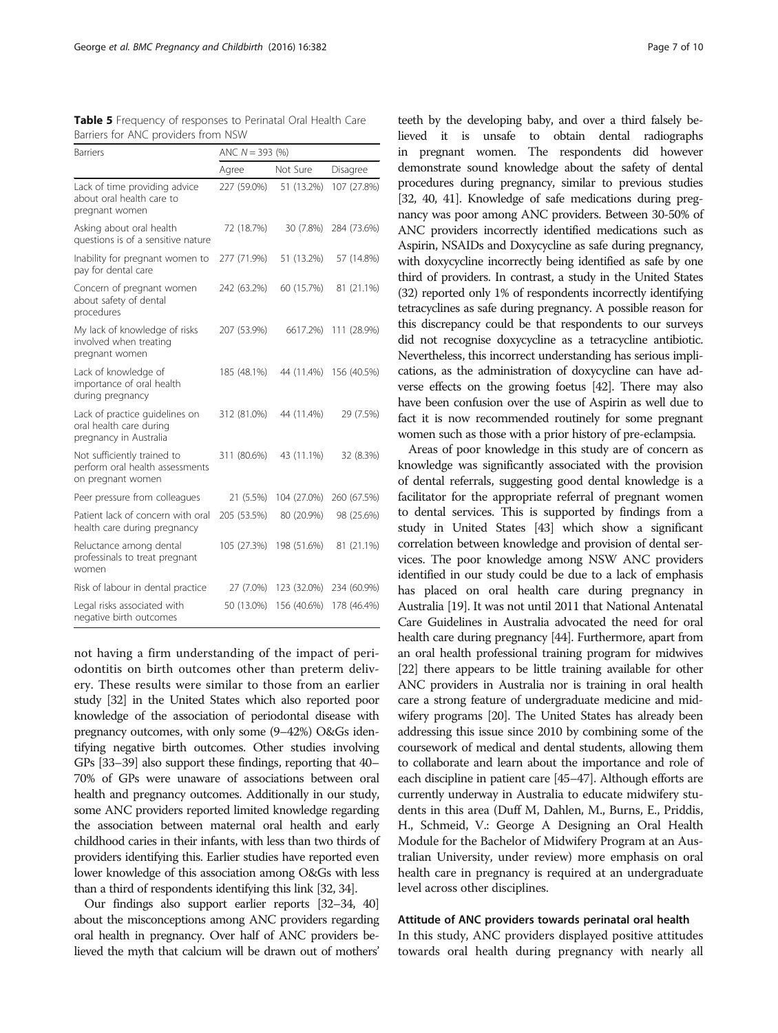<span id="page-6-0"></span>

| <b>Table 5</b> Frequency of responses to Perinatal Oral Health Care |  |
|---------------------------------------------------------------------|--|
| Barriers for ANC providers from NSW                                 |  |

| ANC $N = 393$ (%)<br><b>Barriers</b>                                                |             |             |             |
|-------------------------------------------------------------------------------------|-------------|-------------|-------------|
|                                                                                     | Agree       | Not Sure    | Disagree    |
| Lack of time providing advice<br>about oral health care to<br>pregnant women        | 227 (59.0%) | 51 (13.2%)  | 107 (27.8%) |
| Asking about oral health<br>questions is of a sensitive nature                      | 72 (18.7%)  | 30 (7.8%)   | 284 (73.6%) |
| Inability for pregnant women to<br>pay for dental care                              | 277 (71.9%) | 51 (13.2%)  | 57 (14.8%)  |
| Concern of pregnant women<br>about safety of dental<br>procedures                   | 242 (63.2%) | 60 (15.7%)  | 81 (21.1%)  |
| My lack of knowledge of risks<br>involved when treating<br>pregnant women           | 207 (53.9%) | 6617.2%)    | 111 (28.9%) |
| Lack of knowledge of<br>importance of oral health<br>during pregnancy               | 185 (48.1%) | 44 (11.4%)  | 156 (40.5%) |
| Lack of practice quidelines on<br>oral health care during<br>pregnancy in Australia | 312 (81.0%) | 44 (11.4%)  | 29 (7.5%)   |
| Not sufficiently trained to<br>perform oral health assessments<br>on pregnant women | 311 (80.6%) | 43 (11.1%)  | 32 (8.3%)   |
| Peer pressure from colleagues                                                       | 21 (5.5%)   | 104 (27.0%) | 260 (67.5%) |
| Patient lack of concern with oral<br>health care during pregnancy                   | 205 (53.5%) | 80 (20.9%)  | 98 (25.6%)  |
| Reluctance among dental<br>professinals to treat pregnant<br>women                  | 105 (27.3%) | 198 (51.6%) | 81 (21.1%)  |
| Risk of labour in dental practice                                                   | 27 (7.0%)   | 123 (32.0%) | 234 (60.9%) |
| Legal risks associated with<br>negative birth outcomes                              | 50 (13.0%)  | 156 (40.6%) | 178 (46.4%) |

not having a firm understanding of the impact of periodontitis on birth outcomes other than preterm delivery. These results were similar to those from an earlier study [[32](#page-9-0)] in the United States which also reported poor knowledge of the association of periodontal disease with pregnancy outcomes, with only some (9–42%) O&Gs identifying negative birth outcomes. Other studies involving GPs [\[33](#page-9-0)–[39\]](#page-9-0) also support these findings, reporting that 40– 70% of GPs were unaware of associations between oral health and pregnancy outcomes. Additionally in our study, some ANC providers reported limited knowledge regarding the association between maternal oral health and early childhood caries in their infants, with less than two thirds of providers identifying this. Earlier studies have reported even lower knowledge of this association among O&Gs with less than a third of respondents identifying this link [\[32, 34\]](#page-9-0).

Our findings also support earlier reports [\[32](#page-9-0)–[34](#page-9-0), [40](#page-9-0)] about the misconceptions among ANC providers regarding oral health in pregnancy. Over half of ANC providers believed the myth that calcium will be drawn out of mothers'

teeth by the developing baby, and over a third falsely believed it is unsafe to obtain dental radiographs in pregnant women. The respondents did however demonstrate sound knowledge about the safety of dental procedures during pregnancy, similar to previous studies [[32, 40, 41\]](#page-9-0). Knowledge of safe medications during pregnancy was poor among ANC providers. Between 30-50% of ANC providers incorrectly identified medications such as Aspirin, NSAIDs and Doxycycline as safe during pregnancy, with doxycycline incorrectly being identified as safe by one third of providers. In contrast, a study in the United States (32) reported only 1% of respondents incorrectly identifying tetracyclines as safe during pregnancy. A possible reason for this discrepancy could be that respondents to our surveys did not recognise doxycycline as a tetracycline antibiotic. Nevertheless, this incorrect understanding has serious implications, as the administration of doxycycline can have adverse effects on the growing foetus [\[42](#page-9-0)]. There may also have been confusion over the use of Aspirin as well due to fact it is now recommended routinely for some pregnant women such as those with a prior history of pre-eclampsia.

Areas of poor knowledge in this study are of concern as knowledge was significantly associated with the provision of dental referrals, suggesting good dental knowledge is a facilitator for the appropriate referral of pregnant women to dental services. This is supported by findings from a study in United States [\[43](#page-9-0)] which show a significant correlation between knowledge and provision of dental services. The poor knowledge among NSW ANC providers identified in our study could be due to a lack of emphasis has placed on oral health care during pregnancy in Australia [\[19\]](#page-8-0). It was not until 2011 that National Antenatal Care Guidelines in Australia advocated the need for oral health care during pregnancy [[44](#page-9-0)]. Furthermore, apart from an oral health professional training program for midwives [[22](#page-9-0)] there appears to be little training available for other ANC providers in Australia nor is training in oral health care a strong feature of undergraduate medicine and midwifery programs [\[20\]](#page-8-0). The United States has already been addressing this issue since 2010 by combining some of the coursework of medical and dental students, allowing them to collaborate and learn about the importance and role of each discipline in patient care [\[45](#page-9-0)–[47\]](#page-9-0). Although efforts are currently underway in Australia to educate midwifery students in this area (Duff M, Dahlen, M., Burns, E., Priddis, H., Schmeid, V.: George A Designing an Oral Health Module for the Bachelor of Midwifery Program at an Australian University, under review) more emphasis on oral health care in pregnancy is required at an undergraduate level across other disciplines.

#### Attitude of ANC providers towards perinatal oral health

In this study, ANC providers displayed positive attitudes towards oral health during pregnancy with nearly all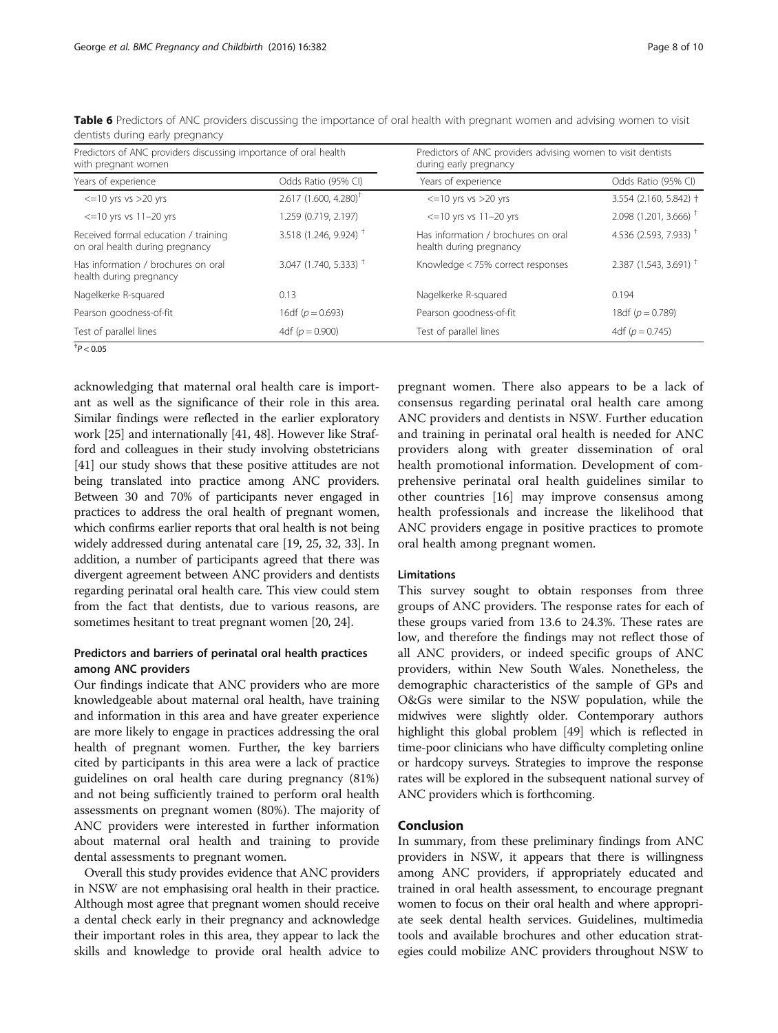| with pregnant women                                                     | Predictors of ANC providers discussing importance of oral health<br>Predictors of ANC providers advising women to visit dentists<br>during early pregnancy |                                                                |                                     |
|-------------------------------------------------------------------------|------------------------------------------------------------------------------------------------------------------------------------------------------------|----------------------------------------------------------------|-------------------------------------|
| Years of experience                                                     | Odds Ratio (95% CI)                                                                                                                                        | Years of experience                                            | Odds Ratio (95% CI)                 |
| $\leq$ =10 yrs vs >20 yrs                                               | $2.617$ (1.600, 4.280) <sup>†</sup>                                                                                                                        | $\leq$ =10 yrs vs >20 yrs                                      | 3.554 (2.160, 5.842) +              |
| $\leq$ =10 yrs vs 11-20 yrs                                             | 1.259 (0.719, 2.197)                                                                                                                                       | $\leq$ =10 yrs vs 11-20 yrs                                    | $2.098$ (1.201, 3.666) <sup>†</sup> |
| Received formal education / training<br>on oral health during pregnancy | 3.518 (1.246, 9.924) <sup>+</sup>                                                                                                                          | Has information / brochures on oral<br>health during pregnancy | 4.536 (2.593, 7.933) <sup>†</sup>   |
| Has information / brochures on oral<br>health during pregnancy          | 3.047 (1.740, 5.333) <sup>+</sup>                                                                                                                          | Knowledge < 75% correct responses                              | $2.387$ (1.543, 3.691) <sup>+</sup> |
| Nagelkerke R-squared                                                    | 0.13                                                                                                                                                       | Nagelkerke R-squared                                           | 0.194                               |
| Pearson goodness-of-fit                                                 | 16df ( $p = 0.693$ )                                                                                                                                       | Pearson goodness-of-fit                                        | 18df ( $p = 0.789$ )                |
| Test of parallel lines                                                  | 4df ( $p = 0.900$ )                                                                                                                                        | Test of parallel lines                                         | 4df ( $p = 0.745$ )                 |
| $+ - - - - - -$                                                         |                                                                                                                                                            |                                                                |                                     |

<span id="page-7-0"></span>Table 6 Predictors of ANC providers discussing the importance of oral health with pregnant women and advising women to visit dentists during early pregnancy

 $^{\dagger}P < 0.05$ 

acknowledging that maternal oral health care is important as well as the significance of their role in this area. Similar findings were reflected in the earlier exploratory work [[25\]](#page-9-0) and internationally [\[41, 48](#page-9-0)]. However like Strafford and colleagues in their study involving obstetricians [[41](#page-9-0)] our study shows that these positive attitudes are not being translated into practice among ANC providers. Between 30 and 70% of participants never engaged in practices to address the oral health of pregnant women, which confirms earlier reports that oral health is not being widely addressed during antenatal care [[19](#page-8-0), [25](#page-9-0), [32, 33\]](#page-9-0). In addition, a number of participants agreed that there was divergent agreement between ANC providers and dentists regarding perinatal oral health care. This view could stem from the fact that dentists, due to various reasons, are sometimes hesitant to treat pregnant women [[20](#page-8-0), [24\]](#page-9-0).

# Predictors and barriers of perinatal oral health practices among ANC providers

Our findings indicate that ANC providers who are more knowledgeable about maternal oral health, have training and information in this area and have greater experience are more likely to engage in practices addressing the oral health of pregnant women. Further, the key barriers cited by participants in this area were a lack of practice guidelines on oral health care during pregnancy (81%) and not being sufficiently trained to perform oral health assessments on pregnant women (80%). The majority of ANC providers were interested in further information about maternal oral health and training to provide dental assessments to pregnant women.

Overall this study provides evidence that ANC providers in NSW are not emphasising oral health in their practice. Although most agree that pregnant women should receive a dental check early in their pregnancy and acknowledge their important roles in this area, they appear to lack the skills and knowledge to provide oral health advice to pregnant women. There also appears to be a lack of consensus regarding perinatal oral health care among ANC providers and dentists in NSW. Further education and training in perinatal oral health is needed for ANC providers along with greater dissemination of oral health promotional information. Development of comprehensive perinatal oral health guidelines similar to other countries [\[16](#page-8-0)] may improve consensus among health professionals and increase the likelihood that ANC providers engage in positive practices to promote oral health among pregnant women.

# Limitations

This survey sought to obtain responses from three groups of ANC providers. The response rates for each of these groups varied from 13.6 to 24.3%. These rates are low, and therefore the findings may not reflect those of all ANC providers, or indeed specific groups of ANC providers, within New South Wales. Nonetheless, the demographic characteristics of the sample of GPs and O&Gs were similar to the NSW population, while the midwives were slightly older. Contemporary authors highlight this global problem [\[49\]](#page-9-0) which is reflected in time-poor clinicians who have difficulty completing online or hardcopy surveys. Strategies to improve the response rates will be explored in the subsequent national survey of ANC providers which is forthcoming.

# Conclusion

In summary, from these preliminary findings from ANC providers in NSW, it appears that there is willingness among ANC providers, if appropriately educated and trained in oral health assessment, to encourage pregnant women to focus on their oral health and where appropriate seek dental health services. Guidelines, multimedia tools and available brochures and other education strategies could mobilize ANC providers throughout NSW to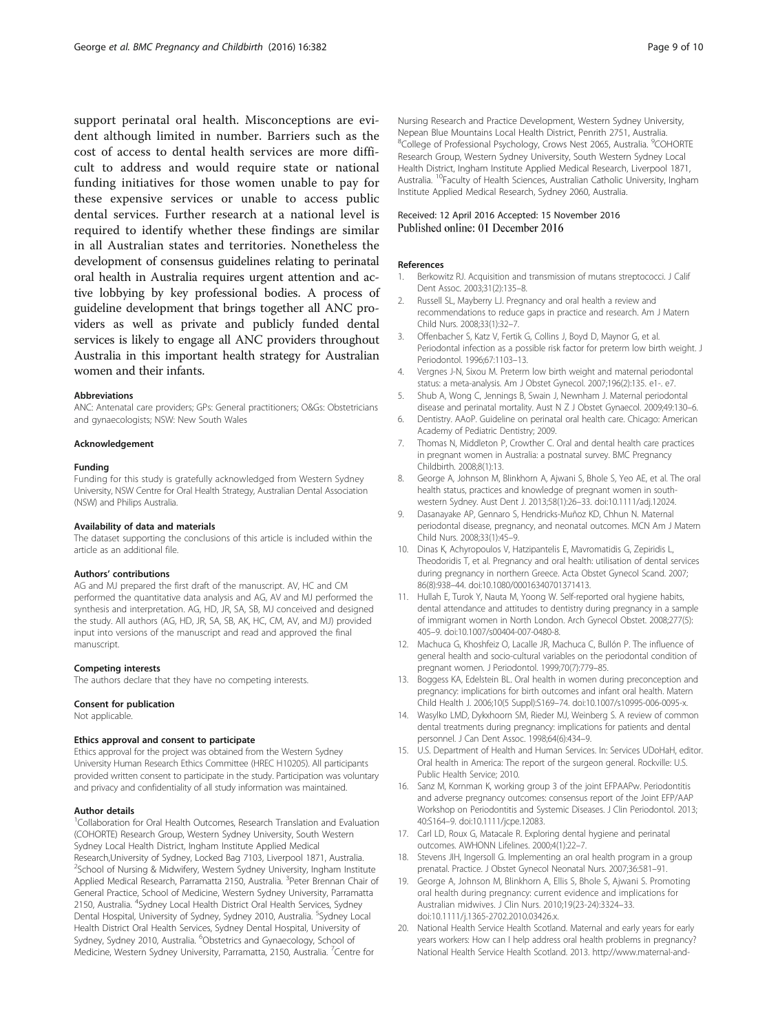<span id="page-8-0"></span>support perinatal oral health. Misconceptions are evident although limited in number. Barriers such as the cost of access to dental health services are more difficult to address and would require state or national funding initiatives for those women unable to pay for these expensive services or unable to access public dental services. Further research at a national level is required to identify whether these findings are similar in all Australian states and territories. Nonetheless the development of consensus guidelines relating to perinatal oral health in Australia requires urgent attention and active lobbying by key professional bodies. A process of guideline development that brings together all ANC providers as well as private and publicly funded dental services is likely to engage all ANC providers throughout Australia in this important health strategy for Australian women and their infants.

#### Abbreviations

ANC: Antenatal care providers; GPs: General practitioners; O&Gs: Obstetricians and gynaecologists; NSW: New South Wales

#### Acknowledgement

#### Funding

Funding for this study is gratefully acknowledged from Western Sydney University, NSW Centre for Oral Health Strategy, Australian Dental Association (NSW) and Philips Australia.

### Availability of data and materials

The dataset supporting the conclusions of this article is included within the article as an additional file.

#### Authors' contributions

AG and MJ prepared the first draft of the manuscript. AV, HC and CM performed the quantitative data analysis and AG, AV and MJ performed the synthesis and interpretation. AG, HD, JR, SA, SB, MJ conceived and designed the study. All authors (AG, HD, JR, SA, SB, AK, HC, CM, AV, and MJ) provided input into versions of the manuscript and read and approved the final manuscript.

## Competing interests

The authors declare that they have no competing interests.

#### Consent for publication

Not applicable.

#### Ethics approval and consent to participate

Ethics approval for the project was obtained from the Western Sydney University Human Research Ethics Committee (HREC H10205). All participants provided written consent to participate in the study. Participation was voluntary and privacy and confidentiality of all study information was maintained.

### Author details

<sup>1</sup>Collaboration for Oral Health Outcomes, Research Translation and Evaluation (COHORTE) Research Group, Western Sydney University, South Western Sydney Local Health District, Ingham Institute Applied Medical Research,University of Sydney, Locked Bag 7103, Liverpool 1871, Australia. <sup>2</sup>School of Nursing & Midwifery, Western Sydney University, Ingham Institute Applied Medical Research, Parramatta 2150, Australia. <sup>3</sup>Peter Brennan Chair of General Practice, School of Medicine, Western Sydney University, Parramatta 2150, Australia. <sup>4</sup>Sydney Local Health District Oral Health Services, Sydney Dental Hospital, University of Sydney, Sydney 2010, Australia. <sup>5</sup>Sydney Local Health District Oral Health Services, Sydney Dental Hospital, University of Sydney, Sydney 2010, Australia. <sup>6</sup>Obstetrics and Gynaecology, School of Medicine, Western Sydney University, Parramatta, 2150, Australia. <sup>7</sup>Centre for

Nursing Research and Practice Development, Western Sydney University, Nepean Blue Mountains Local Health District, Penrith 2751, Australia. <sup>8</sup>College of Professional Psychology, Crows Nest 2065, Australia. <sup>9</sup>COHORTE Research Group, Western Sydney University, South Western Sydney Local Health District, Ingham Institute Applied Medical Research, Liverpool 1871, Australia. <sup>10</sup>Faculty of Health Sciences, Australian Catholic University, Ingham Institute Applied Medical Research, Sydney 2060, Australia.

# Received: 12 April 2016 Accepted: 15 November 2016<br>Published online: 01 December 2016

#### References

- 1. Berkowitz RJ. Acquisition and transmission of mutans streptococci. J Calif Dent Assoc. 2003;31(2):135–8.
- 2. Russell SL, Mayberry LJ. Pregnancy and oral health a review and recommendations to reduce gaps in practice and research. Am J Matern Child Nurs. 2008;33(1):32–7.
- 3. Offenbacher S, Katz V, Fertik G, Collins J, Boyd D, Maynor G, et al. Periodontal infection as a possible risk factor for preterm low birth weight. J Periodontol. 1996;67:1103–13.
- 4. Vergnes J-N, Sixou M. Preterm low birth weight and maternal periodontal status: a meta-analysis. Am J Obstet Gynecol. 2007;196(2):135. e1-. e7.
- 5. Shub A, Wong C, Jennings B, Swain J, Newnham J. Maternal periodontal disease and perinatal mortality. Aust N Z J Obstet Gynaecol. 2009;49:130–6.
- 6. Dentistry. AAoP. Guideline on perinatal oral health care. Chicago: American Academy of Pediatric Dentistry; 2009.
- 7. Thomas N, Middleton P, Crowther C. Oral and dental health care practices in pregnant women in Australia: a postnatal survey. BMC Pregnancy Childbirth. 2008;8(1):13.
- George A, Johnson M, Blinkhorn A, Ajwani S, Bhole S, Yeo AE, et al. The oral health status, practices and knowledge of pregnant women in southwestern Sydney. Aust Dent J. 2013;58(1):26–33. doi:[10.1111/adj.12024.](http://dx.doi.org/10.1111/adj.12024)
- 9. Dasanayake AP, Gennaro S, Hendricks-Muñoz KD, Chhun N. Maternal periodontal disease, pregnancy, and neonatal outcomes. MCN Am J Matern Child Nurs. 2008;33(1):45–9.
- 10. Dinas K, Achyropoulos V, Hatzipantelis E, Mavromatidis G, Zepiridis L, Theodoridis T, et al. Pregnancy and oral health: utilisation of dental services during pregnancy in northern Greece. Acta Obstet Gynecol Scand. 2007; 86(8):938–44. doi[:10.1080/00016340701371413](http://dx.doi.org/10.1080/00016340701371413).
- 11. Hullah E, Turok Y, Nauta M, Yoong W. Self-reported oral hygiene habits, dental attendance and attitudes to dentistry during pregnancy in a sample of immigrant women in North London. Arch Gynecol Obstet. 2008;277(5): 405–9. doi:[10.1007/s00404-007-0480-8.](http://dx.doi.org/10.1007/s00404-007-0480-8)
- 12. Machuca G, Khoshfeiz O, Lacalle JR, Machuca C, Bullón P. The influence of general health and socio-cultural variables on the periodontal condition of pregnant women. J Periodontol. 1999;70(7):779–85.
- 13. Boggess KA, Edelstein BL. Oral health in women during preconception and pregnancy: implications for birth outcomes and infant oral health. Matern Child Health J. 2006;10(5 Suppl):S169–74. doi:[10.1007/s10995-006-0095-x.](http://dx.doi.org/10.1007/s10995-006-0095-x)
- 14. Wasylko LMD, Dykxhoorn SM, Rieder MJ, Weinberg S. A review of common dental treatments during pregnancy: implications for patients and dental personnel. J Can Dent Assoc. 1998;64(6):434–9.
- 15. U.S. Department of Health and Human Services. In: Services UDoHaH, editor. Oral health in America: The report of the surgeon general. Rockville: U.S. Public Health Service; 2010.
- 16. Sanz M, Kornman K, working group 3 of the joint EFPAAPw. Periodontitis and adverse pregnancy outcomes: consensus report of the Joint EFP/AAP Workshop on Periodontitis and Systemic Diseases. J Clin Periodontol. 2013; 40:S164–9. doi:[10.1111/jcpe.12083](http://dx.doi.org/10.1111/jcpe.12083).
- 17. Carl LD, Roux G, Matacale R. Exploring dental hygiene and perinatal outcomes. AWHONN Lifelines. 2000;4(1):22–7.
- Stevens JIH, Ingersoll G. Implementing an oral health program in a group prenatal. Practice. J Obstet Gynecol Neonatal Nurs. 2007;36:581–91.
- 19. George A, Johnson M, Blinkhorn A, Ellis S, Bhole S, Ajwani S. Promoting oral health during pregnancy: current evidence and implications for Australian midwives. J Clin Nurs. 2010;19(23-24):3324–33. doi[:10.1111/j.1365-2702.2010.03426.x.](http://dx.doi.org/10.1111/j.1365-2702.2010.03426.x)
- 20. National Health Service Health Scotland. Maternal and early years for early years workers: How can I help address oral health problems in pregnancy? National Health Service Health Scotland. 2013. [http://www.maternal-and-](http://www.maternal-and-early-years.org.uk/how-can-i-help-address-oral-health-problems-in-pregnancy)